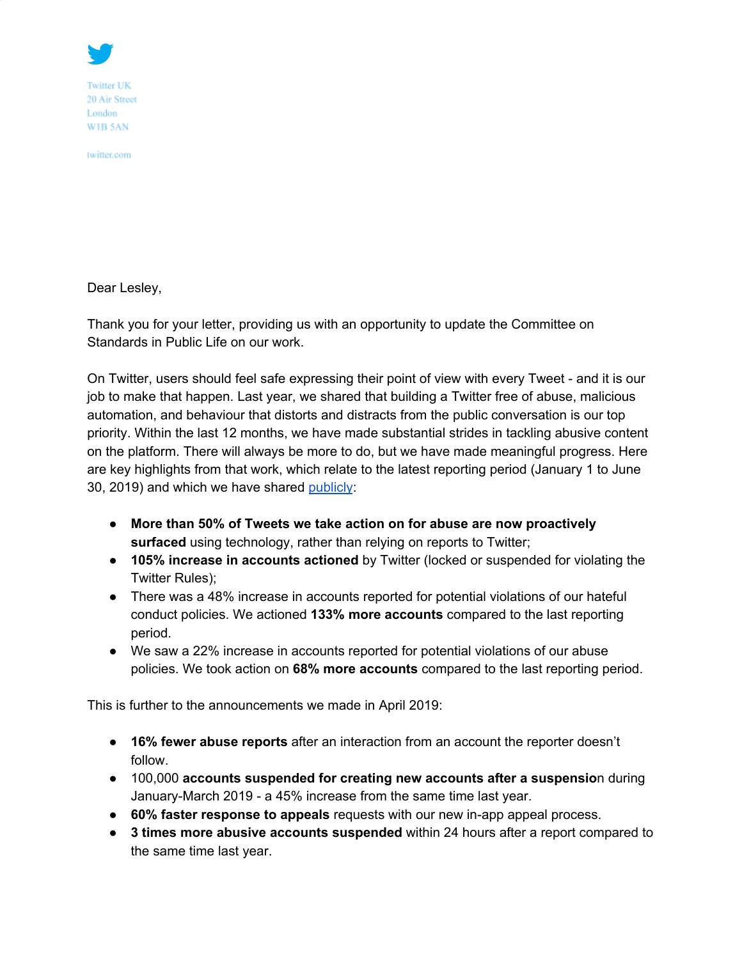

**Twitter UK** 20 Air Street London WIB 5AN

twitter.com

Dear Lesley,

Thank you for your letter, providing us with an opportunity to update the Committee on Standards in Public Life on our work.

On Twitter, users should feel safe expressing their point of view with every Tweet - and it is our job to make that happen. Last year, we shared that building a Twitter free of abuse, malicious automation, and behaviour that distorts and distracts from the public conversation is our top priority. Within the last 12 months, we have made substantial strides in tackling abusive content on the platform. There will always be more to do, but we have made meaningful progress. Here are key highlights from that work, which relate to the latest reporting period (January 1 to June 30, 2019) and which we have shared [publicly](https://transparency.twitter.com/en.html):

- **More than 50% of Tweets we take action on for abuse are now proactively surfaced** using technology, rather than relying on reports to Twitter;
- **105% increase in accounts actioned** by Twitter (locked or suspended for violating the Twitter Rules);
- There was a 48% increase in accounts reported for potential violations of our hateful conduct policies. We actioned **133% more accounts** compared to the last reporting period.
- We saw a 22% increase in accounts reported for potential violations of our abuse policies. We took action on **68% more accounts** compared to the last reporting period.

This is further to the announcements we made in April 2019:

- **16% fewer abuse reports** after an interaction from an account the reporter doesn't follow.
- 100,000 **accounts suspended for creating new accounts after a suspensio**n during January-March 2019 - a 45% increase from the same time last year.
- **60% faster response to appeals** requests with our new in-app appeal process.
- **3 times more abusive accounts suspended** within 24 hours after a report compared to the same time last year.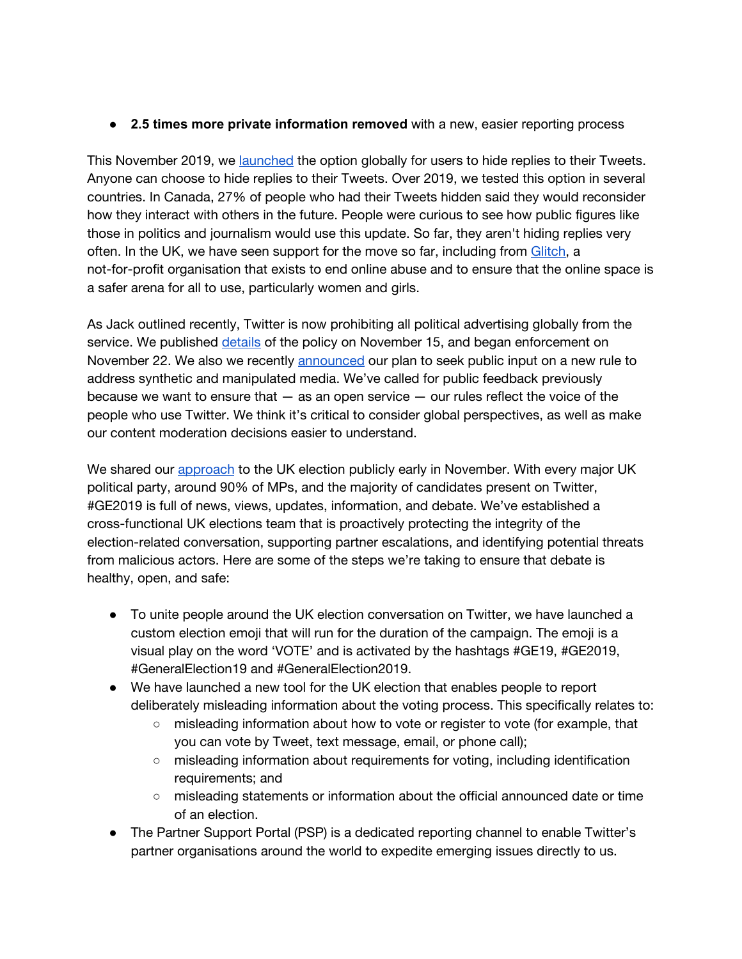● **2.5 times more private information removed** with a new, easier reporting process

This November 2019, we [launched](https://blog.twitter.com/en_us/topics/product/2019/more-control-over-your-conversations-globally.html) the option globally for users to hide replies to their Tweets. Anyone can choose to hide replies to their Tweets. Over 2019, we tested this option in several countries. In Canada, 27% of people who had their Tweets hidden said they would reconsider how they interact with others in the future. People were curious to see how public figures like those in politics and journalism would use this update. So far, they aren't hiding replies very often. In the UK, we have seen support for the move so far, including from [Glitch,](https://twitter.com/seyiakiwowo/status/1197867862947446786) a not-for-profit organisation that exists to end online abuse and to ensure that the online space is a safer arena for all to use, particularly women and girls.

As Jack outlined recently, Twitter is now prohibiting all political advertising globally from the service. We published [details](https://business.twitter.com/en/help/ads-policies/prohibited-content-policies/political-content.html) of the policy on November 15, and began enforcement on November 22. We also we recently [announced](https://blog.twitter.com/en_us/topics/company/2019/synthetic_manipulated_media_policy_feedback.html) our plan to seek public input on a new rule to address synthetic and manipulated media. We've called for public feedback previously because we want to ensure that  $-$  as an open service  $-$  our rules reflect the voice of the people who use Twitter. We think it's critical to consider global perspectives, as well as make our content moderation decisions easier to understand.

We shared our [approach](https://blog.twitter.com/en_gb/topics/events/2019/serving-the-public-conversation-for-ge2019.html) to the UK election publicly early in November. With every major UK political party, around 90% of MPs, and the majority of candidates present on Twitter, #GE2019 is full of news, views, updates, information, and debate. We've established a cross-functional UK elections team that is proactively protecting the integrity of the election-related conversation, supporting partner escalations, and identifying potential threats from malicious actors. Here are some of the steps we're taking to ensure that debate is healthy, open, and safe:

- To unite people around the UK election conversation on Twitter, we have launched a custom election emoji that will run for the duration of the campaign. The emoji is a visual play on the word 'VOTE' and is activated by the hashtags #GE19, #GE2019, #GeneralElection19 and #GeneralElection2019.
- We have launched a new tool for the UK election that enables people to report deliberately misleading information about the voting process. This specifically relates to:
	- misleading information about how to vote or register to vote (for example, that you can vote by Tweet, text message, email, or phone call);
	- misleading information about requirements for voting, including identification requirements; and
	- misleading statements or information about the official announced date or time of an election.
- The Partner Support Portal (PSP) is a dedicated reporting channel to enable Twitter's partner organisations around the world to expedite emerging issues directly to us.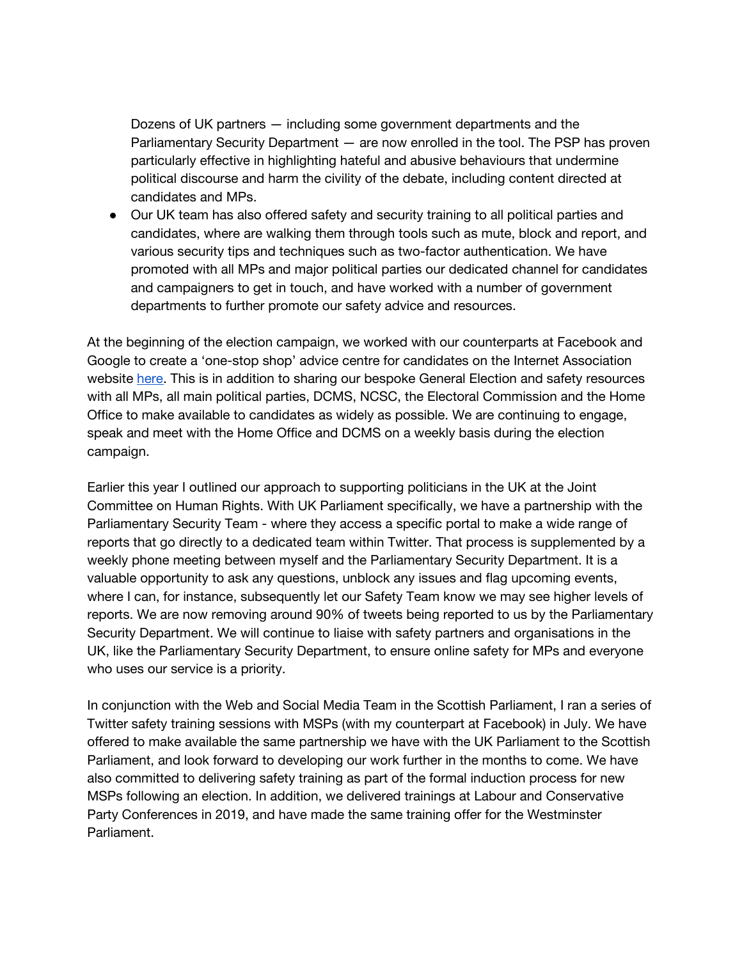Dozens of UK partners — including some government departments and the Parliamentary Security Department — are now enrolled in the tool. The PSP has proven particularly effective in highlighting hateful and abusive behaviours that undermine political discourse and harm the civility of the debate, including content directed at candidates and MPs.

● Our UK team has also offered safety and security training to all political parties and candidates, where are walking them through tools such as mute, block and report, and various security tips and techniques such as two-factor authentication. We have promoted with all MPs and major political parties our dedicated channel for candidates and campaigners to get in touch, and have worked with a number of government departments to further promote our safety advice and resources.

At the beginning of the election campaign, we worked with our counterparts at Facebook and Google to create a 'one-stop shop' advice centre for candidates on the Internet Association website [here.](https://uk.internetassociation.org/blog/resource-for-parliamentary-candidates/) This is in addition to sharing our bespoke General Election and safety resources with all MPs, all main political parties, DCMS, NCSC, the Electoral Commission and the Home Office to make available to candidates as widely as possible. We are continuing to engage, speak and meet with the Home Office and DCMS on a weekly basis during the election campaign.

Earlier this year I outlined our approach to supporting politicians in the UK at the Joint Committee on Human Rights. With UK Parliament specifically, we have a partnership with the Parliamentary Security Team - where they access a specific portal to make a wide range of reports that go directly to a dedicated team within Twitter. That process is supplemented by a weekly phone meeting between myself and the Parliamentary Security Department. It is a valuable opportunity to ask any questions, unblock any issues and flag upcoming events, where I can, for instance, subsequently let our Safety Team know we may see higher levels of reports. We are now removing around 90% of tweets being reported to us by the Parliamentary Security Department. We will continue to liaise with safety partners and organisations in the UK, like the Parliamentary Security Department, to ensure online safety for MPs and everyone who uses our service is a priority.

In conjunction with the Web and Social Media Team in the Scottish Parliament, I ran a series of Twitter safety training sessions with MSPs (with my counterpart at Facebook) in July. We have offered to make available the same partnership we have with the UK Parliament to the Scottish Parliament, and look forward to developing our work further in the months to come. We have also committed to delivering safety training as part of the formal induction process for new MSPs following an election. In addition, we delivered trainings at Labour and Conservative Party Conferences in 2019, and have made the same training offer for the Westminster Parliament.